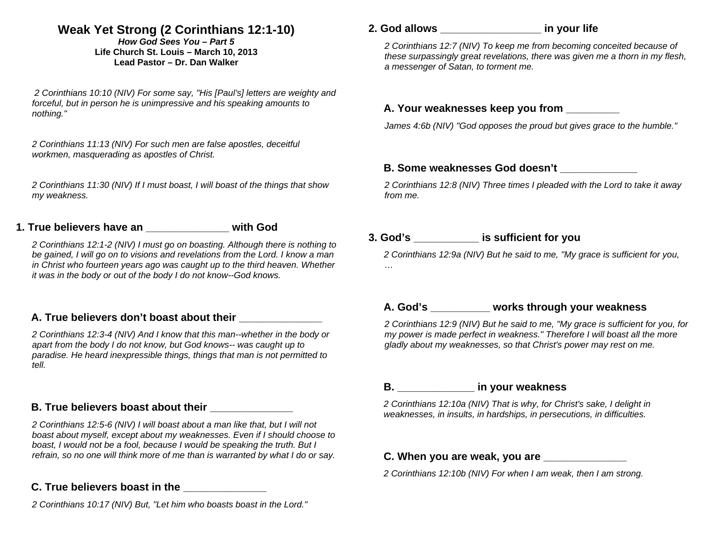# **Weak Yet Strong (2 Corinthians 12:1-10)**

*How God Sees You – Part 5* **Life Church St. Louis** *–* **March 10, 2013 Lead Pastor – Dr. Dan Walker** 

 *2 Corinthians 10:10 (NIV) For some say, "His [Paul's] letters are weighty and forceful, but in person he is unimpressive and his speaking amounts to nothing."* 

*2 Corinthians 11:13 (NIV) For such men are false apostles, deceitful workmen, masquerading as apostles of Christ.* 

*2 Corinthians 11:30 (NIV) If I must boast, I will boast of the things that show my weakness.* 

## **1. True believers have an \_\_\_\_\_\_\_\_\_\_\_\_\_\_ with God**

*2 Corinthians 12:1-2 (NIV) I must go on boasting. Although there is nothing to be gained, I will go on to visions and revelations from the Lord. I know a man in Christ who fourteen years ago was caught up to the third heaven. Whether it was in the body or out of the body I do not know--God knows.* 

#### **A. True believers don't boast about their \_\_\_\_\_\_\_\_\_\_\_\_\_\_**

*2 Corinthians 12:3-4 (NIV) And I know that this man--whether in the body or apart from the body I do not know, but God knows-- was caught up to paradise. He heard inexpressible things, things that man is not permitted to tell.* 

#### **B. True believers boast about their**

*2 Corinthians 12:5-6 (NIV) I will boast about a man like that, but I will not boast about myself, except about my weaknesses. Even if I should choose to boast, I would not be a fool, because I would be speaking the truth. But I refrain, so no one will think more of me than is warranted by what I do or say.* 

# **C. True believers boast in the \_\_\_\_\_\_\_\_\_\_\_\_\_\_**

*2 Corinthians 10:17 (NIV) But, "Let him who boasts boast in the Lord."* 

# **2. God allows \_\_\_\_\_\_\_\_\_\_\_\_\_\_\_\_\_ in your life**

*2 Corinthians 12:7 (NIV) To keep me from becoming conceited because of these surpassingly great revelations, there was given me a thorn in my flesh, a messenger of Satan, to torment me.* 

#### **A. Your weaknesses keep you from \_\_\_\_\_\_\_\_\_**

*James 4:6b (NIV) "God opposes the proud but gives grace to the humble."* 

#### **B. Some weaknesses God doesn't \_\_\_\_\_\_\_\_\_\_\_\_\_**

*2 Corinthians 12:8 (NIV) Three times I pleaded with the Lord to take it away from me.* 

## **3. God's \_\_\_\_\_\_\_\_\_\_\_ is sufficient for you**

*2 Corinthians 12:9a (NIV) But he said to me, "My grace is sufficient for you, …* 

# **A. God's \_\_\_\_\_\_\_\_\_\_ works through your weakness**

*2 Corinthians 12:9 (NIV) But he said to me, "My grace is sufficient for you, for my power is made perfect in weakness." Therefore I will boast all the more gladly about my weaknesses, so that Christ's power may rest on me.* 

#### **B. \_\_\_\_\_\_\_\_\_\_\_\_\_ in your weakness**

*2 Corinthians 12:10a (NIV) That is why, for Christ's sake, I delight in weaknesses, in insults, in hardships, in persecutions, in difficulties.* 

#### **C. When you are weak, you are \_\_\_\_\_\_\_\_\_\_\_\_\_\_**

*2 Corinthians 12:10b (NIV) For when I am weak, then I am strong.*